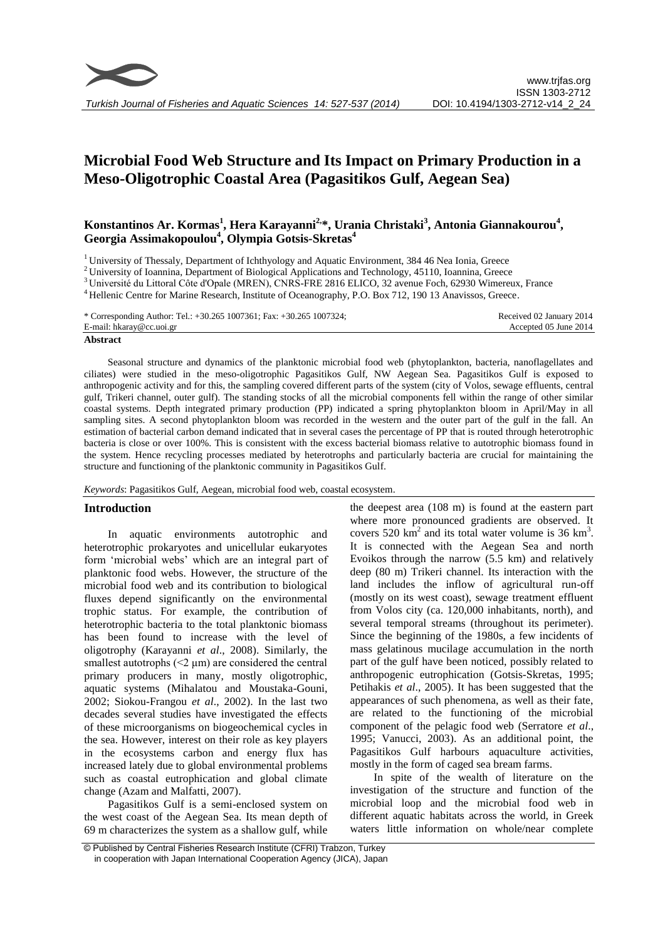

# **Microbial Food Web Structure and Its Impact on Primary Production in a Meso-Oligotrophic Coastal Area (Pagasitikos Gulf, Aegean Sea)**

## **Konstantinos Ar. Kormas<sup>1</sup> , Hera Karayanni2, \*, Urania Christaki<sup>3</sup> , Antonia Giannakourou<sup>4</sup> , Georgia Assimakopoulou<sup>4</sup> , Olympia Gotsis-Skretas<sup>4</sup>**

<sup>1</sup> University of Thessaly, Department of Ichthyology and Aquatic Environment, 384 46 Nea Ionia, Greece

<sup>2</sup> University of Ioannina, Department of Biological Applications and Technology, 45110, Ioannina, Greece

<sup>4</sup> Hellenic Centre for Marine Research, Institute of Oceanography, P.O. Box 712, 190 13 Anavissos, Greece.

| * Corresponding Author: Tel.: +30.265 1007361; Fax: +30.265 1007324; | Received 02 January 2014 |
|----------------------------------------------------------------------|--------------------------|
| E-mail: hkaray@cc.uoi.gr                                             | Accepted 05 June 2014    |
|                                                                      |                          |

**Abstract**

Seasonal structure and dynamics of the planktonic microbial food web (phytoplankton, bacteria, nanoflagellates and ciliates) were studied in the meso-oligotrophic Pagasitikos Gulf, NW Aegean Sea. Pagasitikos Gulf is exposed to anthropogenic activity and for this, the sampling covered different parts of the system (city of Volos, sewage effluents, central gulf, Trikeri channel, outer gulf). The standing stocks of all the microbial components fell within the range of other similar coastal systems. Depth integrated primary production (PP) indicated a spring phytoplankton bloom in April/May in all sampling sites. A second phytoplankton bloom was recorded in the western and the outer part of the gulf in the fall. An estimation of bacterial carbon demand indicated that in several cases the percentage of PP that is routed through heterotrophic bacteria is close or over 100%. This is consistent with the excess bacterial biomass relative to autotrophic biomass found in the system. Hence recycling processes mediated by heterotrophs and particularly bacteria are crucial for maintaining the structure and functioning of the planktonic community in Pagasitikos Gulf.

*Keywords*: Pagasitikos Gulf, Aegean, microbial food web, coastal ecosystem.

## **Introduction**

In aquatic environments autotrophic and heterotrophic prokaryotes and unicellular eukaryotes form 'microbial webs' which are an integral part of planktonic food webs. However, the structure of the microbial food web and its contribution to biological fluxes depend significantly on the environmental trophic status. For example, the contribution of heterotrophic bacteria to the total planktonic biomass has been found to increase with the level of oligotrophy (Karayanni *et al*., 2008). Similarly, the smallest autotrophs  $(\leq 2 \mu m)$  are considered the central primary producers in many, mostly oligotrophic, aquatic systems (Mihalatou and Moustaka-Gouni, 2002; Siokou-Frangou *et al*., 2002). In the last two decades several studies have investigated the effects of these microorganisms on biogeochemical cycles in the sea. However, interest on their role as key players in the ecosystems carbon and energy flux has increased lately due to global environmental problems such as coastal eutrophication and global climate change (Azam and Malfatti, 2007).

Pagasitikos Gulf is a semi-enclosed system on the west coast of the Aegean Sea. Its mean depth of 69 m characterizes the system as a shallow gulf, while the deepest area (108 m) is found at the eastern part where more pronounced gradients are observed. It covers 520  $\text{km}^2$  and its total water volume is 36  $\text{km}^3$ . It is connected with the Aegean Sea and north Evoikos through the narrow (5.5 km) and relatively deep (80 m) Trikeri channel. Its interaction with the land includes the inflow of agricultural run-off (mostly on its west coast), sewage treatment effluent from Volos city (ca. 120,000 inhabitants, north), and several temporal streams (throughout its perimeter). Since the beginning of the 1980s, a few incidents of mass gelatinous mucilage accumulation in the north part of the gulf have been noticed, possibly related to anthropogenic eutrophication (Gotsis-Skretas, 1995; Petihakis *et al*., 2005). It has been suggested that the appearances of such phenomena, as well as their fate, are related to the functioning of the microbial component of the pelagic food web (Serratore *et al*., 1995; Vanucci, 2003). As an additional point, the Pagasitikos Gulf harbours aquaculture activities, mostly in the form of caged sea bream farms.

In spite of the wealth of literature on the investigation of the structure and function of the microbial loop and the microbial food web in different aquatic habitats across the world, in Greek waters little information on whole/near complete

<sup>3</sup> Université du Littoral Côte d'Opale (MREN), CNRS-FRE 2816 ELICO, 32 avenue Foch, 62930 Wimereux, France

<sup>©</sup> Published by Central Fisheries Research Institute (CFRI) Trabzon, Turkey in cooperation with Japan International Cooperation Agency (JICA), Japan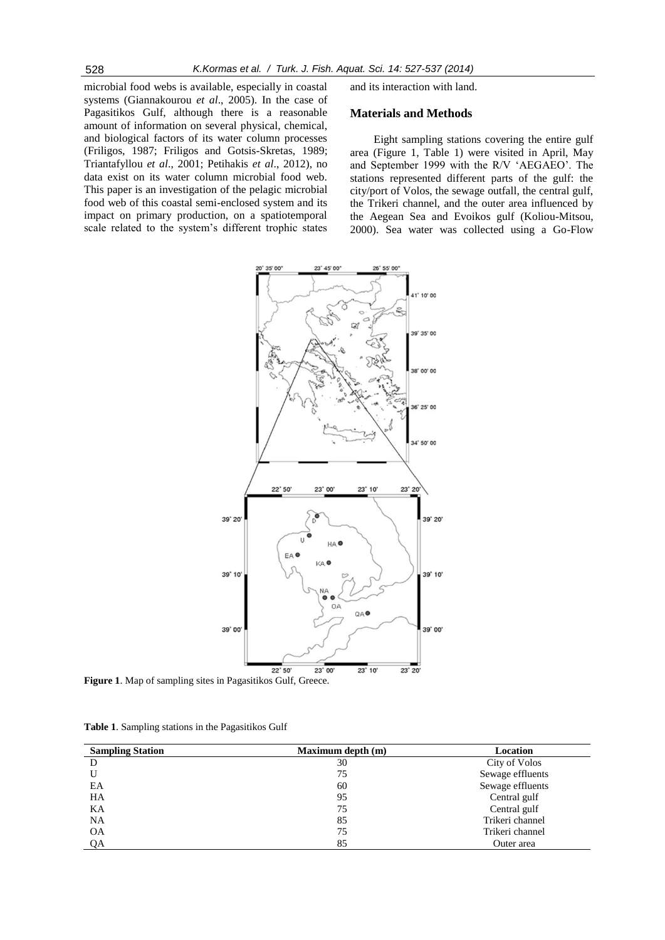microbial food webs is available, especially in coastal systems (Giannakourou *et al*., 2005). In the case of Pagasitikos Gulf, although there is a reasonable amount of information on several physical, chemical, and biological factors of its water column processes (Friligos, 1987; Friligos and Gotsis-Skretas, 1989; Triantafyllou *et al*., 2001; Petihakis *et al*., 2012), no data exist on its water column microbial food web. This paper is an investigation of the pelagic microbial food web of this coastal semi-enclosed system and its impact on primary production, on a spatiotemporal scale related to the system's different trophic states

and its interaction with land.

## **Materials and Methods**

Eight sampling stations covering the entire gulf area (Figure 1, Table 1) were visited in April, May and September 1999 with the R/V 'AEGAEO'. The stations represented different parts of the gulf: the city/port of Volos, the sewage outfall, the central gulf, the Trikeri channel, and the outer area influenced by the Aegean Sea and Evoikos gulf (Koliou-Mitsou, 2000). Sea water was collected using a Go-Flow



**Figure 1**. Map of sampling sites in Pagasitikos Gulf, Greece.

**Table 1**. Sampling stations in the Pagasitikos Gulf

| <b>Sampling Station</b> | Maximum depth (m) | Location         |
|-------------------------|-------------------|------------------|
| D                       | 30                | City of Volos    |
|                         | 75                | Sewage effluents |
| EA                      | 60                | Sewage effluents |
| HA                      | 95                | Central gulf     |
| KA                      | 75                | Central gulf     |
| NA                      | 85                | Trikeri channel  |
| <b>OA</b>               | 75                | Trikeri channel  |
| QA                      | 85                | Outer area       |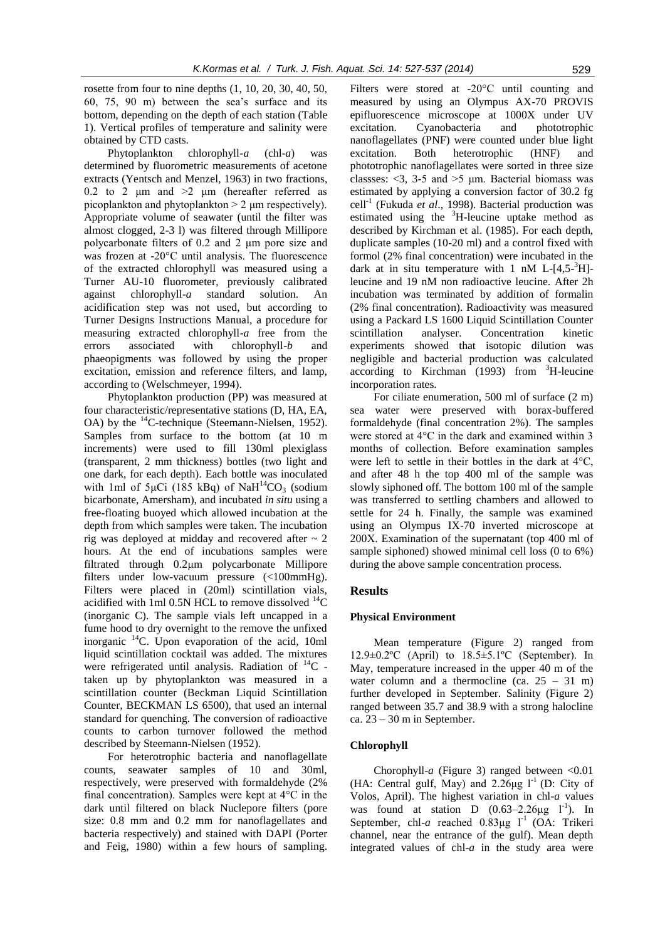rosette from four to nine depths (1, 10, 20, 30, 40, 50, 60, 75, 90 m) between the sea's surface and its bottom, depending on the depth of each station (Table 1). Vertical profiles of temperature and salinity were obtained by CTD casts.

Phytoplankton chlorophyll-*a* (chl-*a*) was determined by fluorometric measurements of acetone extracts (Yentsch and Menzel, 1963) in two fractions, 0.2 to 2  $\mu$ m and >2  $\mu$ m (hereafter referred as picoplankton and phytoplankton > 2 μm respectively). Appropriate volume of seawater (until the filter was almost clogged, 2-3 l) was filtered through Millipore polycarbonate filters of 0.2 and 2 μm pore size and was frozen at -20°C until analysis. The fluorescence of the extracted chlorophyll was measured using a Turner AU-10 fluorometer, previously calibrated against chlorophyll-*a* standard solution. An acidification step was not used, but according to Turner Designs Instructions Manual, a procedure for measuring extracted chlorophyll-*a* free from the errors associated with chlorophyll-*b* and phaeopigments was followed by using the proper excitation, emission and reference filters, and lamp, according to (Welschmeyer, 1994).

Phytoplankton production (PP) was measured at four characteristic/representative stations (D, HA, EA, OA) by the  $^{14}$ C-technique (Steemann-Nielsen, 1952). Samples from surface to the bottom (at 10 m increments) were used to fill 130ml plexiglass (transparent, 2 mm thickness) bottles (two light and one dark, for each depth). Each bottle was inoculated with 1ml of  $5\mu$ Ci (185 kBq) of NaH<sup>14</sup>CO<sub>3</sub> (sodium bicarbonate, Amersham), and incubated *in situ* using a free-floating buoyed which allowed incubation at the depth from which samples were taken. The incubation rig was deployed at midday and recovered after  $\sim$  2 hours. At the end of incubations samples were filtrated through 0.2μm polycarbonate Millipore filters under low-vacuum pressure (<100mmHg). Filters were placed in (20ml) scintillation vials, acidified with 1ml 0.5N HCL to remove dissolved  $^{14}$ C (inorganic C). The sample vials left uncapped in a fume hood to dry overnight to the remove the unfixed inorganic  $^{14}$ C. Upon evaporation of the acid, 10ml liquid scintillation cocktail was added. The mixtures were refrigerated until analysis. Radiation of  $^{14}C$  taken up by phytoplankton was measured in a scintillation counter (Beckman Liquid Scintillation Counter, BECKMAN LS 6500), that used an internal standard for quenching. The conversion of radioactive counts to carbon turnover followed the method described by Steemann-Nielsen (1952).

For heterotrophic bacteria and nanoflagellate counts, seawater samples of 10 and 30ml, respectively, were preserved with formaldehyde (2% final concentration). Samples were kept at 4°C in the dark until filtered on black Nuclepore filters (pore size: 0.8 mm and 0.2 mm for nanoflagellates and bacteria respectively) and stained with DAPI (Porter and Feig, 1980) within a few hours of sampling.

Filters were stored at -20°C until counting and measured by using an Olympus AX-70 PROVIS epifluorescence microscope at 1000X under UV excitation. Cyanobacteria and phototrophic nanoflagellates (PNF) were counted under blue light excitation. Both heterotrophic (HNF) and phototrophic nanoflagellates were sorted in three size classses:  $\langle 3, 3\n-5 \rangle$  and  $\langle 5 \rangle$  µm. Bacterial biomass was estimated by applying a conversion factor of 30.2 fg cell-1 (Fukuda *et al*., 1998). Bacterial production was estimated using the <sup>3</sup>H-leucine uptake method as described by Kirchman et al. (1985). For each depth, duplicate samples (10-20 ml) and a control fixed with formol (2% final concentration) were incubated in the dark at in situ temperature with 1 nM L- $[4,5^{-3}H]$ leucine and 19 nM non radioactive leucine. After 2h incubation was terminated by addition of formalin (2% final concentration). Radioactivity was measured using a Packard LS 1600 Liquid Scintillation Counter scintillation analyser. Concentration kinetic experiments showed that isotopic dilution was negligible and bacterial production was calculated according to Kirchman (1993) from  ${}^{3}$ H-leucine incorporation rates.

For ciliate enumeration, 500 ml of surface (2 m) sea water were preserved with borax-buffered formaldehyde (final concentration 2%). The samples were stored at 4°C in the dark and examined within 3 months of collection. Before examination samples were left to settle in their bottles in the dark at 4°C, and after 48 h the top 400 ml of the sample was slowly siphoned off. The bottom 100 ml of the sample was transferred to settling chambers and allowed to settle for 24 h. Finally, the sample was examined using an Olympus IX-70 inverted microscope at 200Χ. Examination of the supernatant (top 400 ml of sample siphoned) showed minimal cell loss (0 to 6%) during the above sample concentration process.

#### **Results**

#### **Physical Environment**

Mean temperature (Figure 2) ranged from  $12.9\pm0.2$ °C (April) to  $18.5\pm5.1$ °C (September). In May, temperature increased in the upper 40 m of the water column and a thermocline (ca.  $25 - 31$  m) further developed in September. Salinity (Figure 2) ranged between 35.7 and 38.9 with a strong halocline ca.  $23 - 30$  m in September.

#### **Chlorophyll**

Chorophyll- $a$  (Figure 3) ranged between  $\leq 0.01$ (HA: Central gulf, May) and  $2.26\mu g$  l<sup>-1</sup> (D: City of Volos, April). The highest variation in chl-*a* values was found at station  $D$   $(0.63-2.26\mu g I^{-1})$ . In September, chl-a reached  $0.83\mu$ g l<sup>-1</sup> (OA: Trikeri channel, near the entrance of the gulf). Mean depth integrated values of chl-*a* in the study area were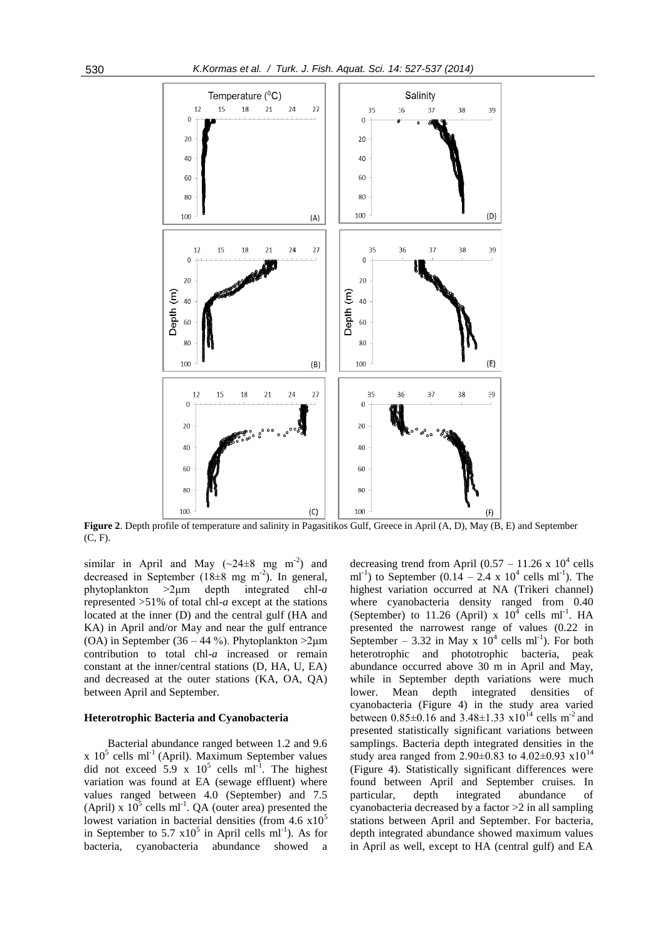

**Figure 2**. Depth profile of temperature and salinity in Pagasitikos Gulf, Greece in April (A, D), May (B, E) and September (C, F).

similar in April and May  $({\sim}24 \pm 8$  mg m<sup>-2</sup>) and decreased in September  $(18\pm8$  mg m<sup>-2</sup>). In general, phytoplankton >2μm depth integrated chl-*a* represented >51% of total chl-*a* except at the stations located at the inner (D) and the central gulf (HA and KA) in April and/or May and near the gulf entrance (OA) in September (36 – 44 %). Phytoplankton  $>2\mu$ m contribution to total chl-*a* increased or remain constant at the inner/central stations (D, HA, U, EA) and decreased at the outer stations (KA, OA, QA) between April and September.

#### **Heterotrophic Bacteria and Cyanobacteria**

Bacterial abundance ranged between 1.2 and 9.6  $x$  10<sup>5</sup> cells ml<sup>-1</sup> (April). Maximum September values did not exceed  $5.9 \times 10^5$  cells ml<sup>-1</sup>. The highest variation was found at EA (sewage effluent) where values ranged between 4.0 (September) and 7.5 (April) x  $10^5$  cells ml<sup>-1</sup>. QA (outer area) presented the lowest variation in bacterial densities (from  $4.6 \times 10^5$ ) in September to 5.7  $\times 10^5$  in April cells ml<sup>-1</sup>). As for bacteria, cyanobacteria abundance showed a

decreasing trend from April  $(0.57 - 11.26 \times 10^4 \text{ cells})$ ml<sup>-1</sup>) to September (0.14 – 2.4 x 10<sup>4</sup> cells ml<sup>-1</sup>). The highest variation occurred at NA (Trikeri channel) where cyanobacteria density ranged from 0.40 (September) to 11.26 (April) x  $10^4$  cells ml<sup>-1</sup>. HA presented the narrowest range of values (0.22 in September – 3.32 in May x  $10^4$  cells ml<sup>-1</sup>). For both heterotrophic and phototrophic bacteria, peak abundance occurred above 30 m in April and May, while in September depth variations were much lower. Mean depth integrated densities of cyanobacteria (Figure 4) in the study area varied between  $0.85\pm0.16$  and  $3.48\pm1.33$   $\times10^{14}$  cells m<sup>-2</sup> and presented statistically significant variations between samplings. Bacteria depth integrated densities in the study area ranged from 2.90 $\pm$ 0.83 to 4.02 $\pm$ 0.93 x10<sup>14</sup> (Figure 4). Statistically significant differences were found between April and September cruises. In particular, depth integrated abundance of cyanobacteria decreased by a factor >2 in all sampling stations between April and September. For bacteria, depth integrated abundance showed maximum values in April as well, except to HA (central gulf) and EA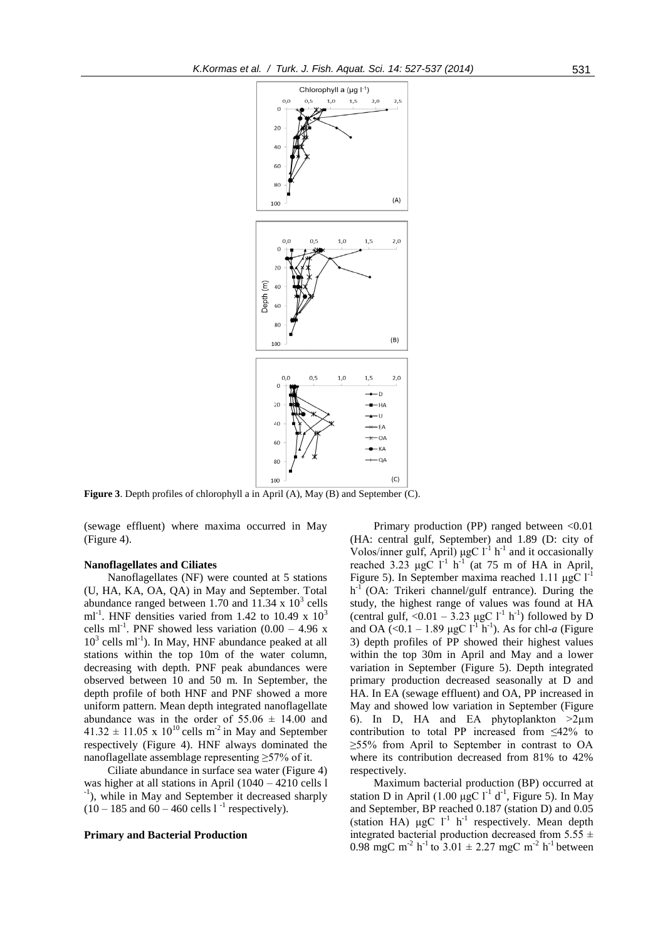

**Figure 3**. Depth profiles of chlorophyll a in April (A), May (B) and September (C).

(sewage effluent) where maxima occurred in May (Figure 4).

## **Nanoflagellates and Ciliates**

Nanoflagellates (NF) were counted at 5 stations (U, HA, KA, OA, QA) in May and September. Total abundance ranged between 1.70 and  $11.34 \times 10^3$  cells ml<sup>-1</sup>. HNF densities varied from 1.42 to 10.49 x  $10^3$ cells ml<sup>-1</sup>. PNF showed less variation  $(0.00 - 4.96 \text{ x})$  $10<sup>3</sup>$  cells ml<sup>-1</sup>). In May, HNF abundance peaked at all stations within the top 10m of the water column, decreasing with depth. PNF peak abundances were observed between 10 and 50 m. In September, the depth profile of both HNF and PNF showed a more uniform pattern. Mean depth integrated nanoflagellate abundance was in the order of  $55.06 \pm 14.00$  and  $41.32 \pm 11.05$  x  $10^{10}$  cells m<sup>-2</sup> in May and September respectively (Figure 4). HNF always dominated the nanoflagellate assemblage representing ≥57% of it.

Ciliate abundance in surface sea water (Figure 4) was higher at all stations in April (1040 – 4210 cells l <sup>-1</sup>), while in May and September it decreased sharply  $(10 - 185 \text{ and } 60 - 460 \text{ cells } 1^{-1} \text{ respectively}).$ 

#### **Primary and Bacterial Production**

Primary production (PP) ranged between <0.01 (HA: central gulf, September) and 1.89 (D: city of Volos/inner gulf, April)  $\mu$ gC l<sup>-1</sup> h<sup>-1</sup> and it occasionally reached 3.23  $\mu$ gC l<sup>-1</sup> h<sup>-1</sup> (at 75 m of HA in April, Figure 5). In September maxima reached 1.11 μgC  $l<sup>-1</sup>$ h<sup>-1</sup> (OA: Trikeri channel/gulf entrance). During the study, the highest range of values was found at HA (central gulf,  $\langle 0.01 - 3.23 \mu gC \, l^{1} \, h^{1} \rangle$  followed by D and OA (<0.1 – 1.89 µgC  $l^{-1}$  h<sup>-1</sup>). As for chl-*a* (Figure 3) depth profiles of PP showed their highest values within the top 30m in April and May and a lower variation in September (Figure 5). Depth integrated primary production decreased seasonally at D and HA. In EA (sewage effluent) and OA, PP increased in May and showed low variation in September (Figure 6). In D, HA and EA phytoplankton  $>2\mu$ m contribution to total PP increased from ≤42% to ≥55% from April to September in contrast to OA where its contribution decreased from 81% to 42% respectively.

Maximum bacterial production (BP) occurred at station D in April (1.00  $\mu$ gC l<sup>-1</sup> d<sup>-1</sup>, Figure 5). In May and September, BP reached 0.187 (station D) and 0.05 (station HA)  $\mu$ gC l<sup>-1</sup> h<sup>-1</sup> respectively. Mean depth integrated bacterial production decreased from 5.55  $\pm$ 0.98 mgC m<sup>-2</sup> h<sup>-1</sup> to 3.01  $\pm$  2.27 mgC m<sup>-2</sup> h<sup>-1</sup> between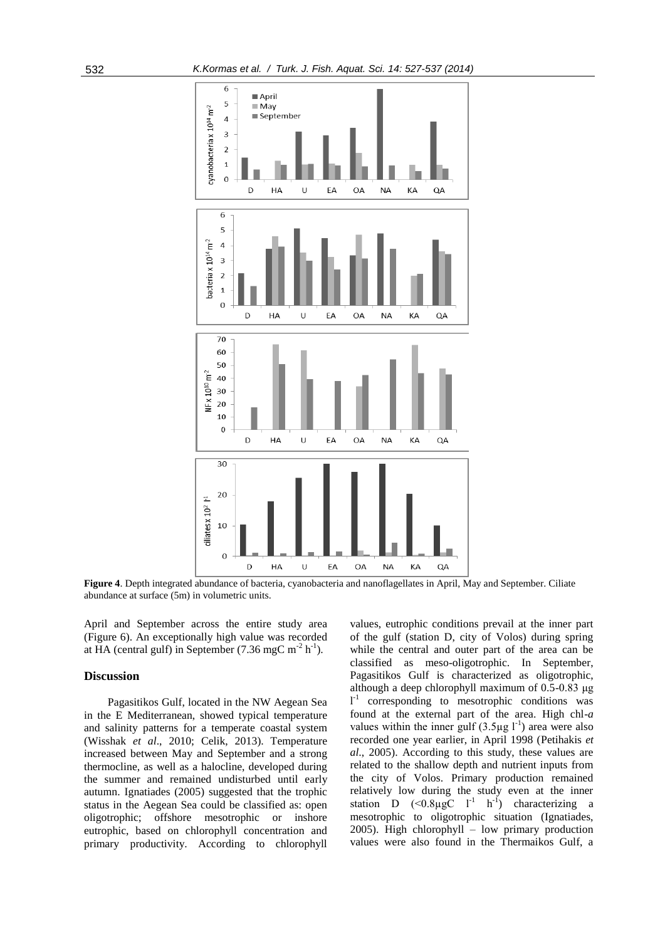

**Figure 4**. Depth integrated abundance of bacteria, cyanobacteria and nanoflagellates in April, May and September. Ciliate abundance at surface (5m) in volumetric units.

April and September across the entire study area (Figure 6). An exceptionally high value was recorded at HA (central gulf) in September (7.36 mgC m<sup>-2</sup> h<sup>-1</sup>).

#### **Discussion**

Pagasitikos Gulf, located in the NW Aegean Sea in the E Mediterranean, showed typical temperature and salinity patterns for a temperate coastal system (Wisshak *et al*., 2010; Celik, 2013). Temperature increased between May and September and a strong thermocline, as well as a halocline, developed during the summer and remained undisturbed until early autumn. Ignatiades (2005) suggested that the trophic status in the Aegean Sea could be classified as: open oligotrophic; offshore mesotrophic or inshore eutrophic, based on chlorophyll concentration and primary productivity. According to chlorophyll values, eutrophic conditions prevail at the inner part of the gulf (station D, city of Volos) during spring while the central and outer part of the area can be classified as meso-oligotrophic. In September, Pagasitikos Gulf is characterized as oligotrophic, although a deep chlorophyll maximum of 0.5-0.83 μg l<sup>-1</sup> corresponding to mesotrophic conditions was found at the external part of the area. High chl-*a* values within the inner gulf  $(3.5 \mu g I^{-1})$  area were also recorded one year earlier, in April 1998 (Petihakis *et al*., 2005). According to this study, these values are related to the shallow depth and nutrient inputs from the city of Volos. Primary production remained relatively low during the study even at the inner station D  $(\leq 0.8 \mu gC \quad l^{-1} \quad h^{-1})$  characterizing a mesotrophic to oligotrophic situation (Ignatiades, 2005). High chlorophyll – low primary production values were also found in the Thermaikos Gulf, a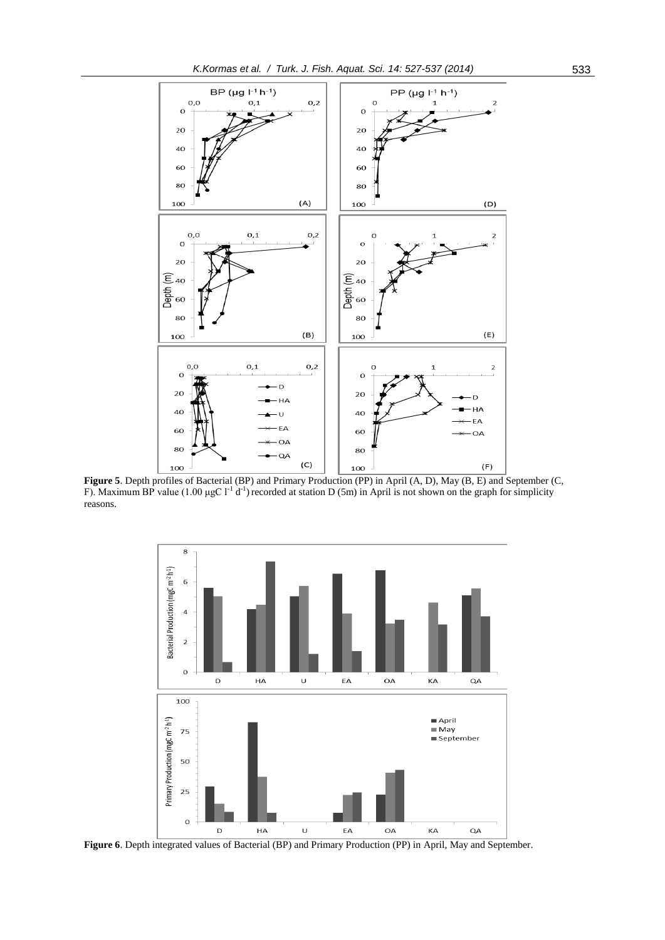

**Figure 5**. Depth profiles of Bacterial (BP) and Primary Production (PP) in April (A, D), May (B, E) and September (C, F). Maximum BP value (1.00 µgC  $l^{-1}$  d<sup>-1</sup>) recorded at station D (5m) in April is not shown on the graph for simplicity reasons.



Figure 6. Depth integrated values of Bacterial (BP) and Primary Production (PP) in April, May and September.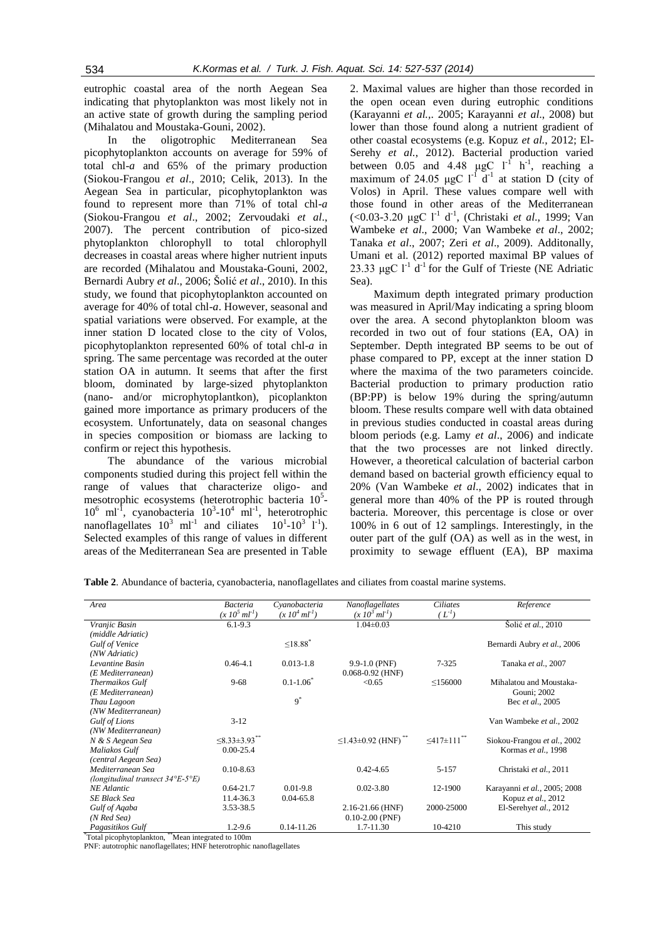eutrophic coastal area of the north Aegean Sea indicating that phytoplankton was most likely not in an active state of growth during the sampling period (Mihalatou and Moustaka-Gouni, 2002).

In the oligotrophic Mediterranean Sea picophytoplankton accounts on average for 59% of total chl-*a* and 65% of the primary production (Siokou-Frangou *et al*., 2010; Celik, 2013). In the Aegean Sea in particular, picophytoplankton was found to represent more than 71% of total chl-*a* (Siokou-Frangou *et al*., 2002; Zervoudaki *et al*., 2007). The percent contribution of pico-sized phytoplankton chlorophyll to total chlorophyll decreases in coastal areas where higher nutrient inputs are recorded (Mihalatou and Moustaka-Gouni, 2002, Bernardi Aubry *et al*., 2006; Šolić *et al*., 2010). In this study, we found that picophytoplankton accounted on average for 40% of total chl-*a*. However, seasonal and spatial variations were observed. For example, at the inner station D located close to the city of Volos, picophytoplankton represented 60% of total chl-*a* in spring. The same percentage was recorded at the outer station OA in autumn. It seems that after the first bloom, dominated by large-sized phytoplankton (nano- and/or microphytoplantkon), picoplankton gained more importance as primary producers of the ecosystem. Unfortunately, data on seasonal changes in species composition or biomass are lacking to confirm or reject this hypothesis.

The abundance of the various microbial components studied during this project fell within the range of values that characterize oligo- and mesotrophic ecosystems (heterotrophic bacteria 10<sup>5</sup>- $10^6$  ml<sup>-1</sup>, cyanobacteria  $10^3$ - $10^4$  ml<sup>-1</sup>, heterotrophic nanoflagellates  $10^3$  ml<sup>-1</sup> and ciliates  $10^1$ - $10^3$  I<sup>-1</sup>). Selected examples of this range of values in different areas of the Mediterranean Sea are presented in Table

2. Maximal values are higher than those recorded in the open ocean even during eutrophic conditions (Karayanni *et al.,*. 2005; Karayanni *et al*., 2008) but lower than those found along a nutrient gradient of other coastal ecosystems (e.g. Kopuz *et al.*, 2012; El-Serehy *et al.*, 2012). Bacterial production varied between 0.05 and 4.48  $\mu$ gC l<sup>-1</sup> h<sup>-1</sup>, reaching a maximum of 24.05  $\mu$ gC l<sup>-1</sup> d<sup>-1</sup> at station D (city of Volos) in April. These values compare well with those found in other areas of the Mediterranean (<0.03-3.20 μgC l<sup>-1</sup> d<sup>-1</sup>, (Christaki *et al.*, 1999; Van Wambeke *et al*., 2000; Van Wambeke *et al*., 2002; Tanaka *et al*., 2007; Zeri *et al*., 2009). Additonally, Umani et al. (2012) reported maximal BP values of 23.33  $\mu$ gC l<sup>-1</sup> d<sup>-1</sup> for the Gulf of Trieste (NE Adriatic Sea).

Maximum depth integrated primary production was measured in April/May indicating a spring bloom over the area. A second phytoplankton bloom was recorded in two out of four stations (EA, OA) in September. Depth integrated BP seems to be out of phase compared to PP, except at the inner station D where the maxima of the two parameters coincide. Bacterial production to primary production ratio (BP:PP) is below 19% during the spring/autumn bloom. These results compare well with data obtained in previous studies conducted in coastal areas during bloom periods (e.g. Lamy *et al*., 2006) and indicate that the two processes are not linked directly. However, a theoretical calculation of bacterial carbon demand based on bacterial growth efficiency equal to 20% (Van Wambeke *et al*., 2002) indicates that in general more than 40% of the PP is routed through bacteria. Moreover, this percentage is close or over 100% in 6 out of 12 samplings. Interestingly, in the outer part of the gulf (OA) as well as in the west, in proximity to sewage effluent (EA), BP maxima

| Area                                                    | <b>Bacteria</b>                      | Cyanobacteria             | Nanoflagellates                      | <b>Ciliates</b>                  | Reference                    |
|---------------------------------------------------------|--------------------------------------|---------------------------|--------------------------------------|----------------------------------|------------------------------|
|                                                         | $(x 10^5 ml^{-1})$                   | $(x 10^4 m l^1)$          | $(x 10^3 ml^{-1})$                   | $(L^{-1})$                       |                              |
| Vranjic Basin                                           | $6.1 - 9.3$                          |                           | $1.04 \pm 0.03$                      |                                  | Šolić et al., 2010           |
| (middle Adriatic)                                       |                                      |                           |                                      |                                  |                              |
| <b>Gulf of Venice</b>                                   |                                      | $\leq 18.88$ <sup>*</sup> |                                      |                                  | Bernardi Aubry et al., 2006  |
| (NW Adriatic)                                           |                                      |                           |                                      |                                  |                              |
| Levantine Basin                                         | $0.46 - 4.1$                         | $0.013 - 1.8$             | $9.9 - 1.0$ (PNF)                    | $7 - 325$                        | Tanaka et al., 2007          |
| (E Mediterranean)                                       |                                      |                           | $0.068 - 0.92$ (HNF)                 |                                  |                              |
| Thermaikos Gulf                                         | $9 - 68$                             | $0.1 - 1.06^*$            | < 0.65                               | $\leq$ 156000                    | Mihalatou and Moustaka-      |
| (E Mediterranean)                                       |                                      |                           |                                      |                                  | Gouni; 2002                  |
| Thau Lagoon                                             |                                      | $9^*$                     |                                      |                                  | Bec <i>et al.</i> , 2005     |
| (NW Mediterranean)                                      |                                      |                           |                                      |                                  |                              |
| Gulf of Lions                                           | $3-12$                               |                           |                                      |                                  | Van Wambeke et al., 2002     |
| (NW Mediterranean)                                      |                                      |                           |                                      |                                  |                              |
| N & S Aegean Sea                                        | $\leq$ 8.33 $\pm$ 3.93 <sup>**</sup> |                           | $\leq$ 1.43±0.92 (HNF) <sup>**</sup> | $\leq 417 \pm 111$ <sup>**</sup> | Siokou-Frangou et al., 2002  |
| Maliakos Gulf                                           | $0.00 - 25.4$                        |                           |                                      |                                  | Kormas et al., 1998          |
| (central Aegean Sea)                                    |                                      |                           |                                      |                                  |                              |
| Mediterranean Sea                                       | $0.10 - 8.63$                        |                           | $0.42 - 4.65$                        | 5-157                            | Christaki et al., 2011       |
| (longitudinal transect $34^{\circ}E \cdot 5^{\circ}E$ ) |                                      |                           |                                      |                                  |                              |
| NE Atlantic                                             | $0.64 - 21.7$                        | $0.01 - 9.8$              | $0.02 - 3.80$                        | 12-1900                          | Karayanni et al., 2005; 2008 |
| SE Black Sea                                            | 11.4-36.3                            | $0.04 - 65.8$             |                                      |                                  | Kopuz et al., 2012           |
| Gulf of Agaba                                           | 3.53-38.5                            |                           | 2.16-21.66 (HNF)                     | 2000-25000                       | El-Serehyet al., 2012        |
| $(N \text{Red} \text{Seq})$                             |                                      |                           | $0.10 - 2.00$ (PNF)                  |                                  |                              |
| Pagasitikos Gulf<br>$**$<br>.                           | $1.2 - 9.6$<br>1.100                 | $0.14 - 11.26$            | 1.7-11.30                            | 10-4210                          | This study                   |

**Table 2**. Abundance of bacteria, cyanobacteria, nanoflagellates and ciliates from coastal marine systems.

\*Total picophytoplankton, \*\*Mean integrated to 100m

PNF: autotrophic nanoflagellates; HNF heterotrophic nanoflagellates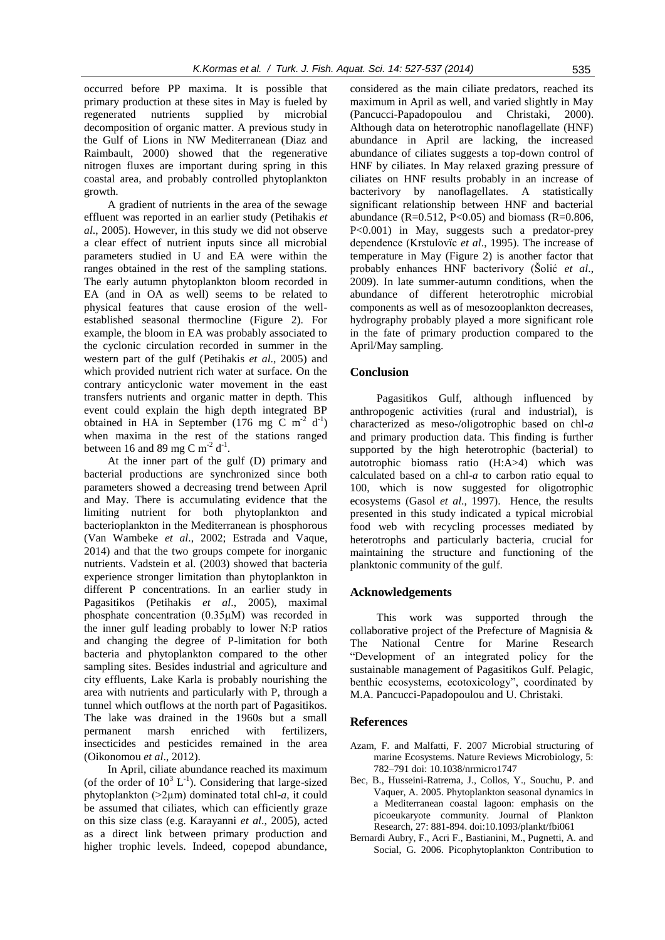occurred before PP maxima. It is possible that primary production at these sites in May is fueled by regenerated nutrients supplied by microbial decomposition of organic matter. A previous study in the Gulf of Lions in NW Mediterranean (Diaz and Raimbault, 2000) showed that the regenerative nitrogen fluxes are important during spring in this coastal area, and probably controlled phytoplankton growth.

A gradient of nutrients in the area of the sewage effluent was reported in an earlier study (Petihakis *et al*., 2005). However, in this study we did not observe a clear effect of nutrient inputs since all microbial parameters studied in U and EA were within the ranges obtained in the rest of the sampling stations. The early autumn phytoplankton bloom recorded in EA (and in OA as well) seems to be related to physical features that cause erosion of the wellestablished seasonal thermocline (Figure 2). For example, the bloom in EA was probably associated to the cyclonic circulation recorded in summer in the western part of the gulf (Petihakis *et al*., 2005) and which provided nutrient rich water at surface. On the contrary anticyclonic water movement in the east transfers nutrients and organic matter in depth. This event could explain the high depth integrated BP obtained in HA in September (176 mg C m<sup>-2</sup> d<sup>-1</sup>) when maxima in the rest of the stations ranged between 16 and 89 mg C m<sup>-2</sup> d<sup>-1</sup>.

At the inner part of the gulf (D) primary and bacterial productions are synchronized since both parameters showed a decreasing trend between April and May. There is accumulating evidence that the limiting nutrient for both phytoplankton and bacterioplankton in the Mediterranean is phosphorous (Van Wambeke *et al*., 2002; Estrada and Vaque, 2014) and that the two groups compete for inorganic nutrients. Vadstein et al. (2003) showed that bacteria experience stronger limitation than phytoplankton in different P concentrations. In an earlier study in Pagasitikos (Petihakis *et al*., 2005), maximal phosphate concentration (0.35µM) was recorded in the inner gulf leading probably to lower N:P ratios and changing the degree of P-limitation for both bacteria and phytoplankton compared to the other sampling sites. Besides industrial and agriculture and city effluents, Lake Karla is probably nourishing the area with nutrients and particularly with P, through a tunnel which outflows at the north part of Pagasitikos. The lake was drained in the 1960s but a small permanent marsh enriched with fertilizers, insecticides and pesticides remained in the area (Oikonomou *et al*., 2012).

In April, ciliate abundance reached its maximum (of the order of  $10^3$  L<sup>-1</sup>). Considering that large-sized phytoplankton (>2µm) dominated total chl-*a*, it could be assumed that ciliates, which can efficiently graze on this size class (e.g. Karayanni *et al*., 2005), acted as a direct link between primary production and higher trophic levels. Indeed, copepod abundance,

considered as the main ciliate predators, reached its maximum in April as well, and varied slightly in May (Pancucci-Papadopoulou and Christaki, 2000). Although data on heterotrophic nanoflagellate (HNF) abundance in April are lacking, the increased abundance of ciliates suggests a top-down control of HNF by ciliates. In May relaxed grazing pressure of ciliates on HNF results probably in an increase of bacterivory by nanoflagellates. A statistically significant relationship between HNF and bacterial abundance (R=0.512, P<0.05) and biomass (R=0.806, P<0.001) in May, suggests such a predator-prey dependence (Krstulovïc *et al*., 1995). The increase of temperature in May (Figure 2) is another factor that probably enhances HNF bacterivory (Šolić *et al*., 2009). In late summer-autumn conditions, when the abundance of different heterotrophic microbial components as well as of mesozooplankton decreases, hydrography probably played a more significant role in the fate of primary production compared to the April/May sampling.

## **Conclusion**

Pagasitikos Gulf, although influenced by anthropogenic activities (rural and industrial), is characterized as meso-/oligotrophic based on chl-*a* and primary production data. This finding is further supported by the high heterotrophic (bacterial) to autotrophic biomass ratio (H:A>4) which was calculated based on a chl-*a* to carbon ratio equal to 100, which is now suggested for oligotrophic ecosystems (Gasol *et al*., 1997). Hence, the results presented in this study indicated a typical microbial food web with recycling processes mediated by heterotrophs and particularly bacteria, crucial for maintaining the structure and functioning of the planktonic community of the gulf.

## **Acknowledgements**

This work was supported through the collaborative project of the Prefecture of Magnisia & The National Centre for Marine Research "Development of an integrated policy for the sustainable management of Pagasitikos Gulf. Pelagic, benthic ecosystems, ecotoxicology", coordinated by M.A. Pancucci-Papadopoulou and U. Christaki.

#### **References**

- Azam, F. and Malfatti, F. 2007 Microbial structuring of marine Ecosystems. Nature Reviews Microbiology, 5: 782–791 doi: 10.1038/nrmicro1747
- Bec, B., Husseini-Ratrema, J., Collos, Y., Souchu, P. and Vaquer, A. 2005. Phytoplankton seasonal dynamics in a Mediterranean coastal lagoon: emphasis on the picoeukaryote community. Journal of Plankton Research*,* 27: 881-894. doi:10.1093/plankt/fbi061
- Bernardi Aubry, F., Acri F., Bastianini, M., Pugnetti, A. and Social, G. 2006. Picophytoplankton Contribution to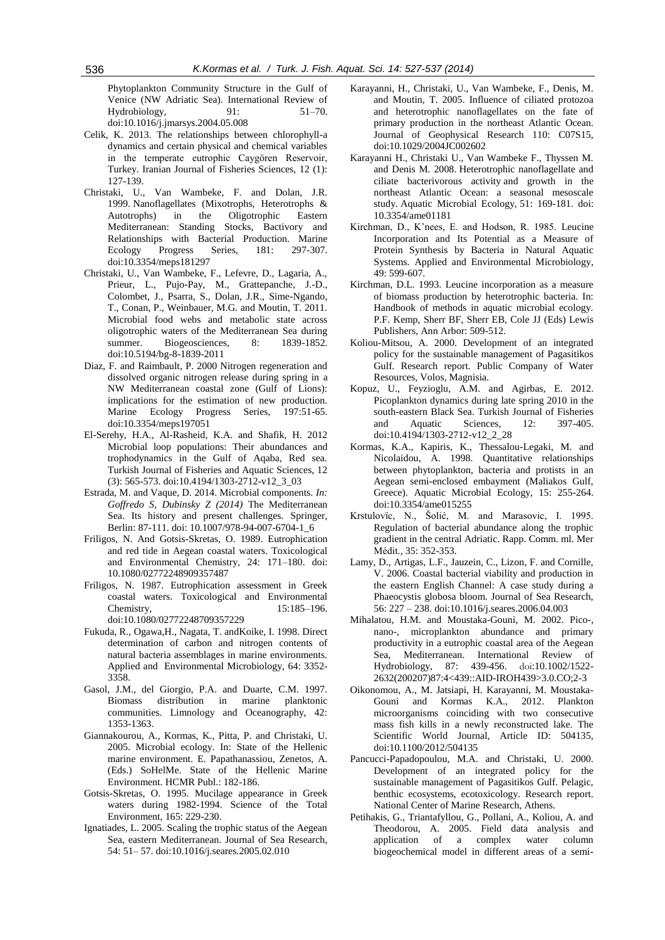Phytoplankton Community Structure in the Gulf of Venice (NW Adriatic Sea). International Review of Hydrobiology*,* 91: 51–70. doi:10.1016/j.jmarsys.2004.05.008

- Celik, K. 2013. The relationships between chlorophyll-a dynamics and certain physical and chemical variables in the temperate eutrophic Caygören Reservoir, Turkey. Iranian Journal of Fisheries Sciences, 12 (1): 127-139.
- Christaki, U., Van Wambeke, F. and Dolan, J.R. 1999. Nanoflagellates (Mixotrophs, Heterotrophs & Autotrophs) in the Oligotrophic Eastern Mediterranean: Standing Stocks, Bactivory and Relationships with Bacterial Production. Marine Ecology Progress Series, 181: 297-307. doi:10.3354/meps181297
- Christaki, U., Van Wambeke, F., Lefevre, D., Lagaria, A., Prieur, L., Pujo-Pay, M., Grattepanche, J.-D., Colombet, J., Psarra, S., Dolan, J.R., Sime-Ngando, T., Conan, P., Weinbauer, M.G. and Moutin, T. 2011. Microbial food webs and metabolic state across oligotrophic waters of the Mediterranean Sea during summer. Biogeosciences, 8: 1839-1852. doi:10.5194/bg-8-1839-2011
- Diaz, F. and Raimbault, P. 2000 Nitrogen regeneration and dissolved organic nitrogen release during spring in a NW Mediterranean coastal zone (Gulf of Lions): implications for the estimation of new production. Marine Ecology Progress Series, 197:51-65. doi:10.3354/meps197051
- El-Serehy, H.A., Al-Rasheid, K.A. and Shafik, H. 2012 Microbial loop populations: Their abundances and trophodynamics in the Gulf of Aqaba, Red sea. Turkish Journal of Fisheries and Aquatic Sciences, 12 (3): 565-573. doi:10.4194/1303-2712-v12\_3\_03
- Estrada, M. and Vaque, D. 2014. Microbial components. *In: Goffredo S, Dubinsky Z (2014)* The Mediterranean Sea. Its history and present challenges*.* Springer, Berlin: 87-111. doi: 10.1007/978-94-007-6704-1\_6
- Friligos, N. And Gotsis-Skretas, O. 1989. Eutrophication and red tide in Aegean coastal waters. Toxicological and Environmental Chemistry, 24: 171–180. doi: 10.1080/02772248909357487
- Friligos, N. 1987. Eutrophication assessment in Greek coastal waters. Toxicological and Environmental Chemistry, 15:185–196. doi:10.1080/02772248709357229
- Fukuda, R., Ogawa,H., Nagata, T. andKoike, I. 1998. Direct determination of carbon and nitrogen contents of natural bacteria assemblages in marine environments. Applied and Environmental Microbiology, 64: 3352- 3358.
- Gasol, J.M., del Giorgio, P.A. and Duarte, C.M. 1997. Biomass distribution in marine planktonic communities. Limnology and Oceanography, 42: 1353-1363.
- Giannakourou, A., Kormas, K., Pitta, P. and Christaki, U. 2005. Microbial ecology. In: State of the Hellenic marine environment. E. Papathanassiou, Zenetos, A. (Eds.) SoHelMe. State of the Hellenic Marine Environment. HCMR Publ.: 182-186.
- Gotsis-Skretas, O. 1995. Mucilage appearance in Greek waters during 1982-1994. Science of the Total Environment, 165: 229-230.
- Ignatiades, L. 2005. Scaling the trophic status of the Aegean Sea, eastern Mediterranean. Journal of Sea Research*,* 54: 51– 57. doi:10.1016/j.seares.2005.02.010
- Karayanni, H., Christaki, U., Van Wambeke, F., Denis, M. and Moutin, T. 2005. Influence of ciliated protozoa and heterotrophic nanoflagellates on the fate of primary production in the northeast Atlantic Ocean. Journal of Geophysical Research 110: C07S15, doi:10.1029/2004JC002602
- Karayanni H., Christaki U., Van Wambeke F., Thyssen M. and Denis M. 2008. Heterotrophic nanoflagellate and ciliate bacterivorous activity and growth in the northeast Atlantic Ocean: a seasonal mesoscale study. Aquatic Microbial Ecology, 51: 169-181. doi: 10.3354/ame01181
- Kirchman, D., K'nees, E. and Hodson, R. 1985. Leucine Incorporation and Its Potential as a Measure of Protein Synthesis by Bacteria in Natural Aquatic Systems. Applied and Environmental Microbiology*,*  49: 599-607.
- Kirchman, D.L. 1993. Leucine incorporation as a measure of biomass production by heterotrophic bacteria. In: Handbook of methods in aquatic microbial ecology. P.F. Kemp, Sherr BF, Sherr EB, Cole JJ (Eds) Lewis Publishers, Ann Arbor: 509-512.
- Koliou-Mitsou, A. 2000. Development of an integrated policy for the sustainable management of Pagasitikos Gulf. Research report. Public Company of Water Resources, Volos, Magnisia.
- Kopuz, U., Feyzioglu, A.M. and Agirbas, E. 2012. Picoplankton dynamics during late spring 2010 in the south-eastern Black Sea. Turkish Journal of Fisheries and Aquatic Sciences, 12: 397-405. doi:10.4194/1303-2712-v12\_2\_28
- Kormas, K.A., Kapiris, K., Thessalou-Legaki, M. and Nicolaidou, A. 1998. Quantitative relationships between phytoplankton, bacteria and protists in an Aegean semi-enclosed embayment (Maliakos Gulf, Greece). Aquatic Microbial Ecology, 15: 255-264. doi:10.3354/ame015255
- Krstulovïc, N., Šolić, M. and Marasovic, I. 1995. Regulation of bacterial abundance along the trophic gradient in the central Adriatic. Rapp. Comm. ml. Mer Médit*.,* 35: 352-353.
- Lamy, D., Artigas, L.F., Jauzein, C., Lizon, F. and Cornille, V. 2006. Coastal bacterial viability and production in the eastern English Channel: A case study during a Phaeocystis globosa bloom. Journal of Sea Research, 56: 227 – 238. doi:10.1016/j.seares.2006.04.003
- Mihalatou, H.M. and Moustaka-Gouni, M. 2002. Pico-, nano-, microplankton abundance and primary productivity in a eutrophic coastal area of the Aegean Sea, Mediterranean. International Review of Hydrobiology*,* 87: 439-456. doi:10.1002/1522- 2632(200207)87:4<439::AID-IROH439>3.0.CO;2-3
- Oikonomou, A., M. Jatsiapi, H. Karayanni, M. Moustaka-Gouni and Kormas K.A., 2012. Plankton microorganisms coinciding with two consecutive mass fish kills in a newly reconstructed lake. The Scientific World Journal, Article ID: 504135, doi:10.1100/2012/504135
- Pancucci-Papadopoulou, M.A. and Christaki, U. 2000. Development of an integrated policy for the sustainable management of Pagasitikos Gulf. Pelagic, benthic ecosystems, ecotoxicology. Research report. National Center of Marine Research, Athens.
- Petihakis, G., Triantafyllou, G., Pollani, A., Koliou, A. and Theodorou, A. 2005. Field data analysis and application of a complex water column biogeochemical model in different areas of a semi-